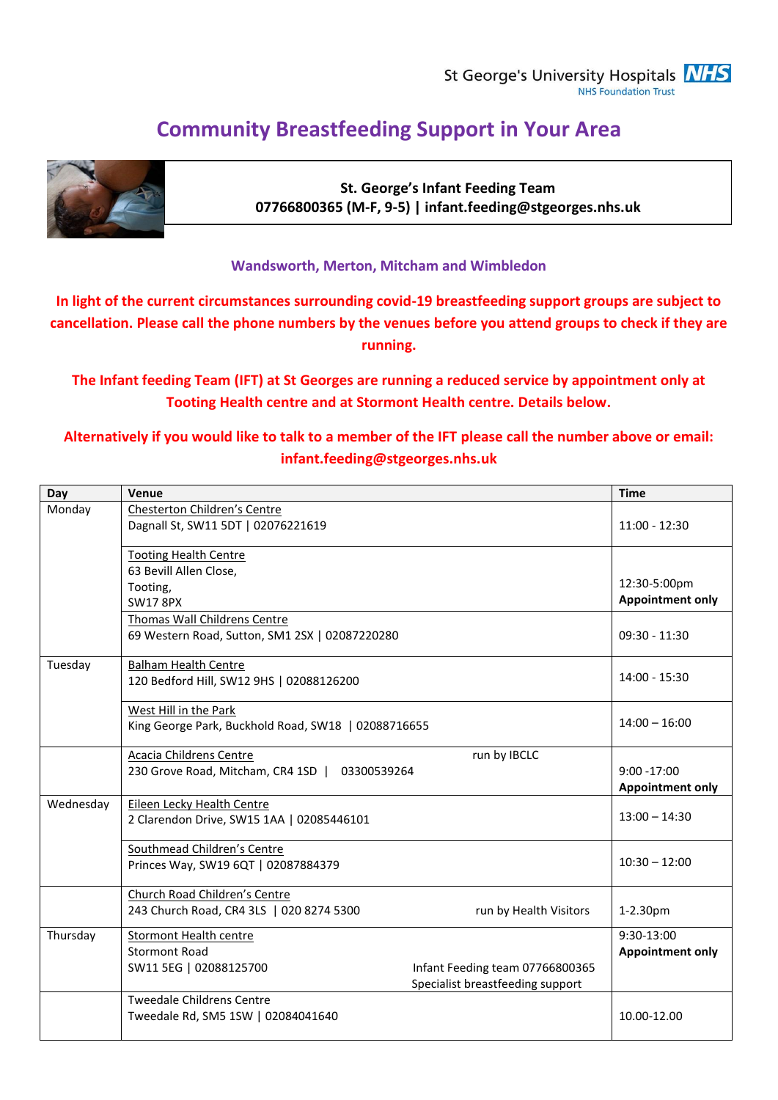St George's University Hospitals **NHS** NHS Foundation Trust

# **Community Breastfeeding Support in Your Area**



**St. George's Infant Feeding Team 07766800365 (M-F, 9-5) | infant.feeding@stgeorges.nhs.uk**

#### **Wandsworth, Merton, Mitcham and Wimbledon**

**In light of the current circumstances surrounding covid-19 breastfeeding support groups are subject to cancellation. Please call the phone numbers by the venues before you attend groups to check if they are running.**

**The Infant feeding Team (IFT) at St Georges are running a reduced service by appointment only at Tooting Health centre and at Stormont Health centre. Details below.**

#### **Alternatively if you would like to talk to a member of the IFT please call the number above or email: infant.feeding@stgeorges.nhs.uk**

| Day       | Venue                                                                                                                                                  | <b>Time</b>                               |
|-----------|--------------------------------------------------------------------------------------------------------------------------------------------------------|-------------------------------------------|
| Monday    | Chesterton Children's Centre<br>Dagnall St, SW11 5DT   02076221619                                                                                     |                                           |
|           | <b>Tooting Health Centre</b><br>63 Bevill Allen Close,<br>Tooting,<br><b>SW17 8PX</b>                                                                  | 12:30-5:00pm<br><b>Appointment only</b>   |
|           | Thomas Wall Childrens Centre<br>69 Western Road, Sutton, SM1 2SX   02087220280                                                                         | $09:30 - 11:30$                           |
| Tuesday   | <b>Balham Health Centre</b><br>120 Bedford Hill, SW12 9HS   02088126200                                                                                | $14:00 - 15:30$                           |
|           | West Hill in the Park<br>King George Park, Buckhold Road, SW18   02088716655                                                                           | $14:00 - 16:00$                           |
|           | <b>Acacia Childrens Centre</b><br>run by IBCLC<br>230 Grove Road, Mitcham, CR4 1SD   03300539264                                                       | $9:00 - 17:00$<br><b>Appointment only</b> |
| Wednesday | Eileen Lecky Health Centre<br>2 Clarendon Drive, SW15 1AA   02085446101                                                                                | $13:00 - 14:30$                           |
|           | Southmead Children's Centre<br>Princes Way, SW19 6QT   02087884379                                                                                     | $10:30 - 12:00$                           |
|           | Church Road Children's Centre<br>243 Church Road, CR4 3LS   020 8274 5300<br>run by Health Visitors                                                    | 1-2.30pm                                  |
| Thursday  | <b>Stormont Health centre</b><br><b>Stormont Road</b><br>Infant Feeding team 07766800365<br>SW11 5EG   02088125700<br>Specialist breastfeeding support | 9:30-13:00<br><b>Appointment only</b>     |
|           | <b>Tweedale Childrens Centre</b><br>Tweedale Rd, SM5 1SW   02084041640                                                                                 | 10.00-12.00                               |